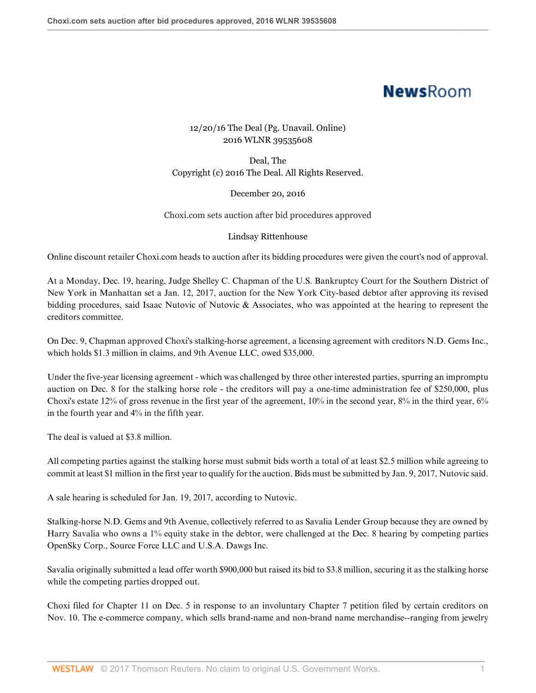## **NewsRoom**

## 12/20/16 The Deal (Pg. Unavail. Online) 2016 WLNR 39535608

Deal, The Copyright (c) 2016 The Deal. All Rights Reserved.

December 20, 2016

Choxi.com sets auction after bid procedures approved

## Lindsay Rittenhouse

Online discount retailer Choxi.com heads to auction after its bidding procedures were given the court's nod of approval.

At a Monday, Dec. 19, hearing, Judge Shelley C. Chapman of the U.S. Bankruptcy Court for the Southern District of New York in Manhattan set a Jan. 12, 2017, auction for the New York City-based debtor after approving its revised bidding procedures, said Isaac Nutovic of Nutovic & Associates, who was appointed at the hearing to represent the creditors committee.

On Dec. 9, Chapman approved Choxi's stalking-horse agreement, a licensing agreement with creditors N.D. Gems Inc., which holds \$1.3 million in claims, and 9th Avenue LLC, owed \$35,000.

Under the five-year licensing agreement - which was challenged by three other interested parties, spurring an impromptu auction on Dec. 8 for the stalking horse role - the creditors will pay a one-time administration fee of \$250,000, plus Choxi's estate 12% of gross revenue in the first year of the agreement,  $10\%$  in the second year,  $8\%$  in the third year,  $6\%$ in the fourth year and 4% in the fifth year.

The deal is valued at \$3.8 million.

All competing parties against the stalking horse must submit bids worth a total of at least \$2.5 million while agreeing to commit at least \$1 million in the first year to qualify for the auction. Bids must be submitted by Jan. 9, 2017, Nutovic said.

A sale hearing is scheduled for Jan. 19, 2017, according to Nutovic.

Stalking-horse N.D. Gems and 9th Avenue, collectively referred to as Savalia Lender Group because they are owned by Harry Savalia who owns a 1% equity stake in the debtor, were challenged at the Dec. 8 hearing by competing parties OpenSky Corp., Source Force LLC and U.S.A. Dawgs Inc.

Savalia originally submitted a lead offer worth \$900,000 but raised its bid to \$3.8 million, securing it as the stalking horse while the competing parties dropped out.

Choxi filed for Chapter 11 on Dec. 5 in response to an involuntary Chapter 7 petition filed by certain creditors on Nov. 10. The e-commerce company, which sells brand-name and non-brand name merchandise--ranging from jewelry